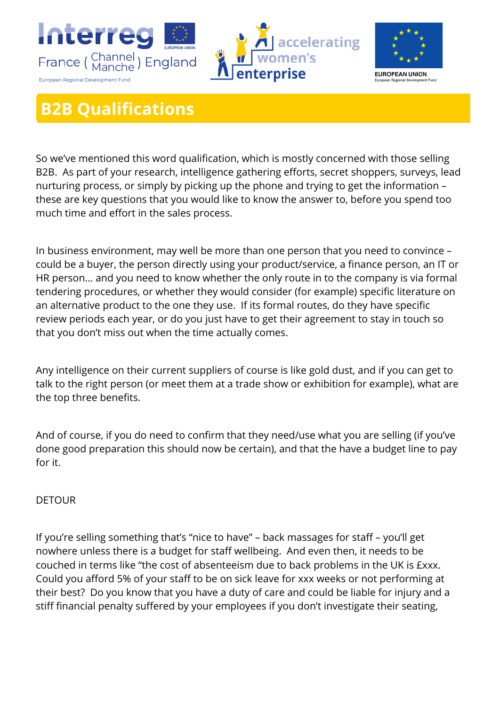





## **B2B Qualifications**

So we've mentioned this word qualification, which is mostly concerned with those selling B2B. As part of your research, intelligence gathering efforts, secret shoppers, surveys, lead nurturing process, or simply by picking up the phone and trying to get the information – these are key questions that you would like to know the answer to, before you spend too much time and effort in the sales process.

In business environment, may well be more than one person that you need to convince – could be a buyer, the person directly using your product/service, a finance person, an IT or HR person… and you need to know whether the only route in to the company is via formal tendering procedures, or whether they would consider (for example) specific literature on an alternative product to the one they use. If its formal routes, do they have specific review periods each year, or do you just have to get their agreement to stay in touch so that you don't miss out when the time actually comes.

Any intelligence on their current suppliers of course is like gold dust, and if you can get to talk to the right person (or meet them at a trade show or exhibition for example), what are the top three benefits.

And of course, if you do need to confirm that they need/use what you are selling (if you've done good preparation this should now be certain), and that the have a budget line to pay for it.

## DETOUR

If you're selling something that's "nice to have" – back massages for staff – you'll get nowhere unless there is a budget for staff wellbeing. And even then, it needs to be couched in terms like "the cost of absenteeism due to back problems in the UK is £xxx. Could you afford 5% of your staff to be on sick leave for xxx weeks or not performing at their best? Do you know that you have a duty of care and could be liable for injury and a stiff financial penalty suffered by your employees if you don't investigate their seating,